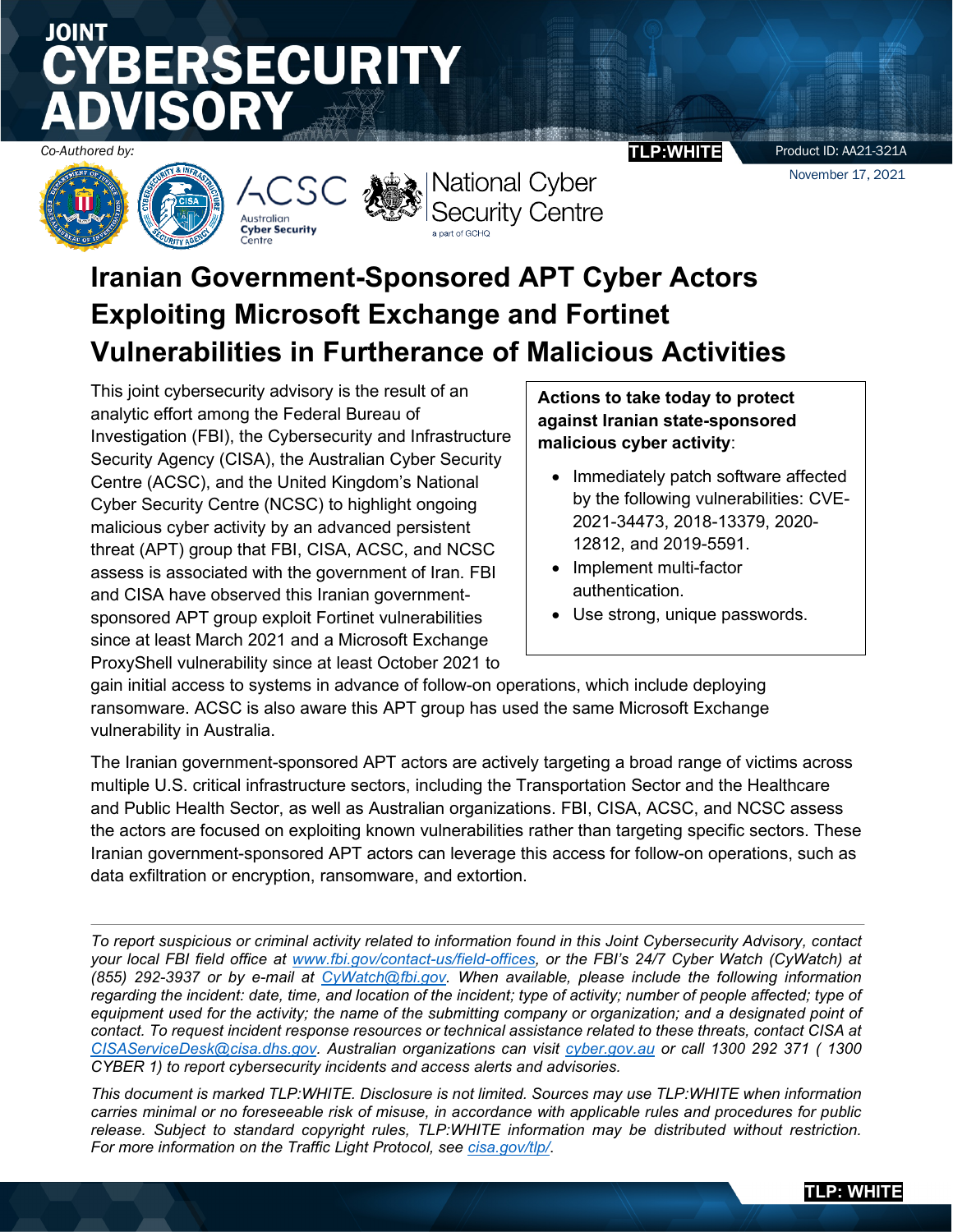# JOINT **SECURITY**







*Co-Authored by:* **TLP:WHITE**

Product ID: AA21-321A

November 17, 2021

## **Iranian Government-Sponsored APT Cyber Actors Exploiting Microsoft Exchange and Fortinet Vulnerabilities in Furtherance of Malicious Activities**

This joint cybersecurity advisory is the result of an analytic effort among the Federal Bureau of Investigation (FBI), the Cybersecurity and Infrastructure Security Agency (CISA), the Australian Cyber Security Centre (ACSC), and the United Kingdom's National Cyber Security Centre (NCSC) to highlight ongoing malicious cyber activity by an advanced persistent threat (APT) group that FBI, CISA, ACSC, and NCSC assess is associated with the government of Iran. FBI and CISA have observed this Iranian governmentsponsored APT group exploit Fortinet vulnerabilities since at least March 2021 and a Microsoft Exchange ProxyShell vulnerability since at least October 2021 to

### **Actions to take today to protect against Iranian state-sponsored malicious cyber activity**:

- Immediately patch software affected by the following vulnerabilities: CVE-2021-34473, 2018-13379, 2020- 12812, and 2019-5591.
- Implement multi-factor authentication.
- Use strong, unique passwords.

gain initial access to systems in advance of follow-on operations, which include deploying ransomware. ACSC is also aware this APT group has used the same Microsoft Exchange vulnerability in Australia.

The Iranian government-sponsored APT actors are actively targeting a broad range of victims across multiple U.S. critical infrastructure sectors, including the Transportation Sector and the Healthcare and Public Health Sector, as well as Australian organizations. FBI, CISA, ACSC, and NCSC assess the actors are focused on exploiting known vulnerabilities rather than targeting specific sectors. These Iranian government-sponsored APT actors can leverage this access for follow-on operations, such as data exfiltration or encryption, ransomware, and extortion.

*To report suspicious or criminal activity related to information found in this Joint Cybersecurity Advisory, contact your local FBI field office at www.fbi.gov/contact-us/field[-offices,](https://www.fbi.gov/contact-us/field-offices) or the FBI's 24/7 Cyber Watch (CyWatch) at (855) 292-3937 or by e-mail at [CyWatch@fbi.gov.](mailto:CyWatch@fbi.gov) When available, please include the following information*  regarding the incident: date, time, and location of the incident; type of activity; number of people affected; type of *equipment used for the activity; the name of the submitting company or organization; and a designated point of contact. To request incident response resources or technical assistance related to these threats, contact CISA at [CISAServiceDesk@cisa.dhs.gov.](mailto:CISAServiceDesk@cisa.dhs.gov) Australian organizations can visit [cyber.gov.au](https://www.cyber.gov.au/) or call 1300 292 371 ( 1300 CYBER 1) to report cybersecurity incidents and access alerts and advisories.*

*This document is marked TLP:WHITE. Disclosure is not limited. Sources may use TLP:WHITE when information carries minimal or no foreseeable risk of misuse, in accordance with applicable rules and procedures for public release. Subject to standard copyright rules, TLP:WHITE information may be distributed without restriction. For more information on the Traffic Light Protocol, see [cisa.gov/tlp/](https://usdhs.sharepoint.com/teams/PublicationsTeam/Shared%20Documents/TEST--%20Product%20Tracker/JCSA_Iranian%20Government-Sponsored%20APT%20Cyber%20Actors%20Exploiting%20Microsoft%20Exchange%20and%20Fortinet%20Vulnerabilities/cisa.gov/tlp)*.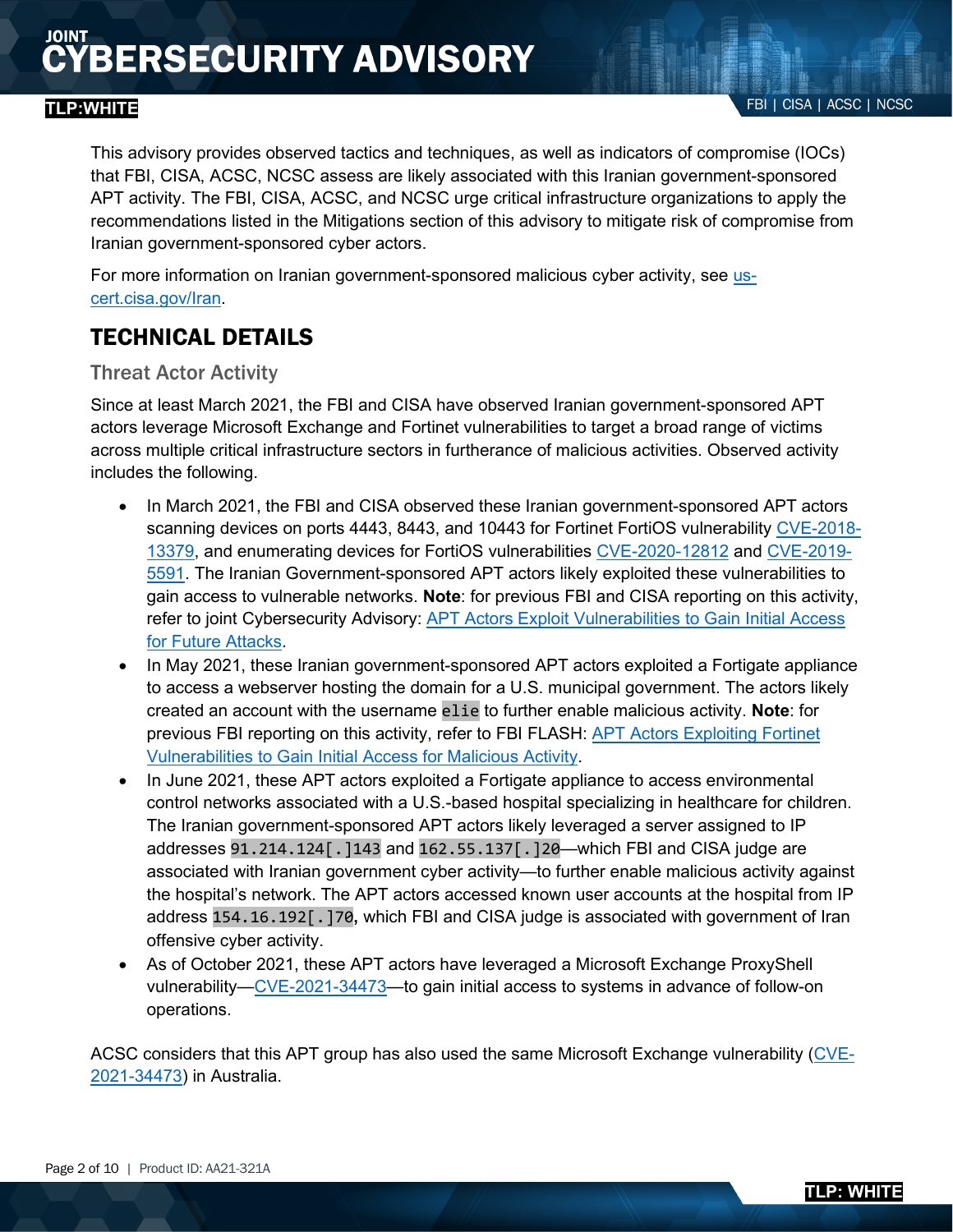This advisory provides observed tactics and techniques, as well as indicators of compromise (IOCs) that FBI, CISA, ACSC, NCSC assess are likely associated with this Iranian government-sponsored APT activity. The FBI, CISA, ACSC, and NCSC urge critical infrastructure organizations to apply the recommendations listed in the Mitigations section of this advisory to mitigate risk of compromise from Iranian government-sponsored cyber actors.

For more information on Iranian government-sponsored malicious cyber activity, see [us](https://attack.mitre.org/versions/v10/techniques/T1190/)[cert.cisa.gov/Iran.](https://attack.mitre.org/versions/v10/techniques/T1190/)

## TECHNICAL DETAILS

### Threat Actor Activity

Since at least March 2021, the FBI and CISA have observed Iranian government-sponsored APT actors leverage Microsoft Exchange and Fortinet vulnerabilities to target a broad range of victims across multiple critical infrastructure sectors in furtherance of malicious activities. Observed activity includes the following.

- In March 2021, the FBI and CISA observed these Iranian government-sponsored APT actors scanning devices on ports 4443, 8443, and 10443 for Fortinet FortiOS vulnerability [CVE-2018-](https://attack.mitre.org/versions/v10/techniques/T1560/001?name=CVE-2018-13379) [13379,](https://attack.mitre.org/versions/v10/techniques/T1560/001?name=CVE-2018-13379) and enumerating devices for FortiOS vulnerabilities [CVE-2020-12812](http://cve.mitre.org/cgi-bin/cvename.cgi?name=CVE-2020-12812) and [CVE-2019-](https://us-cert.cisa.gov/sites/default/files/publications/AA20-245A-Joint_CSA-Technical_Approaches_to_Uncovering_Malicious_Activity_508.pdf?name=CVE-2019-5591) [5591.](https://us-cert.cisa.gov/sites/default/files/publications/AA20-245A-Joint_CSA-Technical_Approaches_to_Uncovering_Malicious_Activity_508.pdf?name=CVE-2019-5591) The Iranian Government-sponsored APT actors likely exploited these vulnerabilities to gain access to vulnerable networks. **Note**: for previous FBI and CISA reporting on this activity, refer to joint Cybersecurity Advisory: **APT Actors Exploit Vulnerabilities to Gain Initial Access** [for Future Attacks.](https://attack.mitre.org/versions/v10/techniques/T1486)
- In May 2021, these Iranian government-sponsored APT actors exploited a Fortigate appliance to access a webserver hosting the domain for a U.S. municipal government. The actors likely created an account with the username elie to further enable malicious activity. **Note**: for previous FBI reporting on this activity, refer to FBI FLASH: [APT Actors Exploiting Fortinet](http://cve.mitre.org/cgi-bin/cvename.cgi)  [Vulnerabilities to Gain Initial Access for Malicious Activity.](http://cve.mitre.org/cgi-bin/cvename.cgi)
- In June 2021, these APT actors exploited a Fortigate appliance to access environmental control networks associated with a U.S.-based hospital specializing in healthcare for children. The Iranian government-sponsored APT actors likely leveraged a server assigned to IP addresses 91.214.124[.]143 and 162.55.137[.]20—which FBI and CISA judge are associated with Iranian government cyber activity—to further enable malicious activity against the hospital's network. The APT actors accessed known user accounts at the hospital from IP address 154.16.192[.]70**,** which FBI and CISA judge is associated with government of Iran offensive cyber activity.
- As of October 2021, these APT actors have leveraged a Microsoft Exchange ProxyShell vulnerability[—CVE-2021-34473—](https://www.us-cert.cisa.gov/iran?name=CVE-2021-34473)to gain initial access to systems in advance of follow-on operations.

ACSC considers that this APT group has also used the same Microsoft Exchange vulnerability [\(CVE-](https://www.cisa.gov/stopransomware/?name=CVE-2021-34473)[2021-34473\)](https://www.cisa.gov/stopransomware/?name=CVE-2021-34473) in Australia.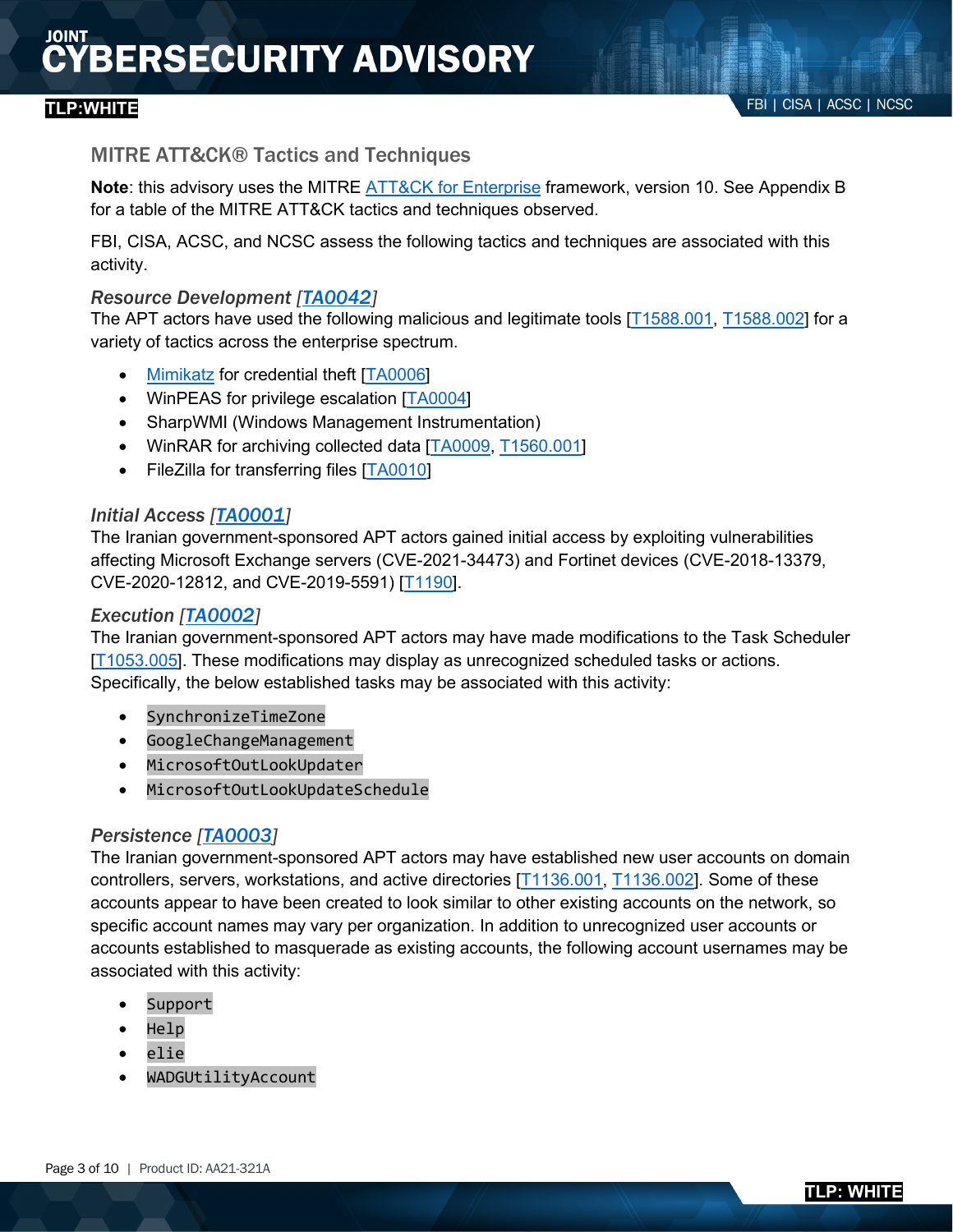### MITRE ATT&CK® Tactics and Techniques

**Note**: this advisory uses the MITRE **ATT&CK** for Enterprise framework, version 10. See Appendix B for a table of the MITRE ATT&CK tactics and techniques observed.

FBI, CISA, ACSC, and NCSC assess the following tactics and techniques are associated with this activity.

### *Resource Development [\[TA0042\]](https://us-cert.cisa.gov/sites/default/files/publications/AA21-321A.stix.xml)*

The APT actors have used the following malicious and legitimate tools [\[T1588.001,](https://attack.mitre.org/versions/v10/techniques/T1136/001) [T1588.002\]](https://attack.mitre.org/versions/v10/techniques/T1136/002) for a variety of tactics across the enterprise spectrum.

- [Mimikatz](https://attack.mitre.org/versions/v10/tactics/TA0042) for credential theft [\[TA0006\]](https://attack.mitre.org/versions/v10/tactics/TA0006)
- WinPEAS for privilege escalation [\[TA0004\]](https://www.cisa.gov/cyber-hygiene-services)
- SharpWMI (Windows Management Instrumentation)
- WinRAR for archiving collected data [\[TA0009,](https://attack.mitre.org/versions/v10/techniques/T1588/002) [T1560.001\]](https://attack.mitre.org/versions/v10/tactics/TA0001/)
- FileZilla for transferring files [\[TA0010\]](https://attack.mitre.org/versions/v10/techniques/T1190/)

#### *Initial Access [\[TA0001\]](https://attack.mitre.org/versions/v10/tactics/TA0001/)*

The Iranian government-sponsored APT actors gained initial access by exploiting vulnerabilities affecting Microsoft Exchange servers (CVE-2021-34473) and Fortinet devices (CVE-2018-13379, CVE-2020-12812, and CVE-2019-5591) [\[T1190\]](https://attack.mitre.org/versions/v10/techniques/T1588/001).

#### *Execution [\[TA0002\]](https://attack.mitre.org/versions/v10/tactics/TA0040)*

The Iranian government-sponsored APT actors may have made modifications to the Task Scheduler [\[T1053.005\]](https://attack.mitre.org/versions/v10/techniques/T1588/001). These modifications may display as unrecognized scheduled tasks or actions. Specifically, the below established tasks may be associated with this activity:

- SynchronizeTimeZone
- GoogleChangeManagement
- MicrosoftOutLookUpdater
- MicrosoftOutLookUpdateSchedule

### *Persistence [\[TA0003\]](https://attack.mitre.org/versions/v10/techniques/T1136/002)*

The Iranian government-sponsored APT actors may have established new user accounts on domain controllers, servers, workstations, and active directories [\[T1136.001,](https://attack.mitre.org/versions/v10/tactics/TA0009) [T1136.002\]](https://attack.mitre.org/versions/v10/techniques/T1053/005). Some of these accounts appear to have been created to look similar to other existing accounts on the network, so specific account names may vary per organization. In addition to unrecognized user accounts or accounts established to masquerade as existing accounts, the following account usernames may be associated with this activity:

- Support
- Help
- elie
- WADGUtilityAccount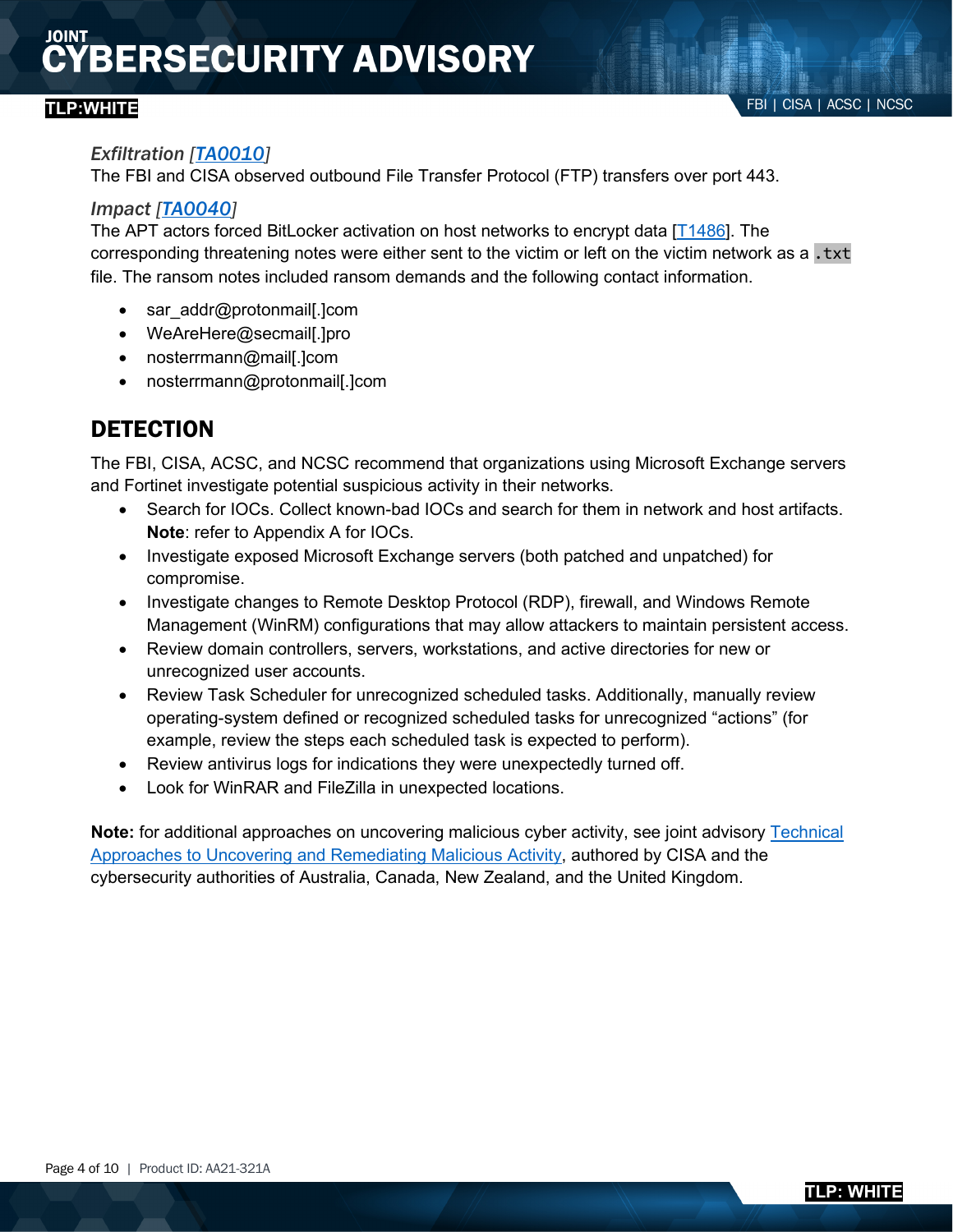#### *Exfiltration [\[TA0010\]](https://attack.mitre.org/versions/v10/tactics/TA0009)*

The FBI and CISA observed outbound File Transfer Protocol (FTP) transfers over port 443.

### *Impact [\[TA0040\]](https://attack.mitre.org/versions/v10/techniques/T1136/001)*

The APT actors forced BitLocker activation on host networks to encrypt data [\[T1486\]](https://attack.mitre.org/versions/v10/tactics/TA0010/). The corresponding threatening notes were either sent to the victim or left on the victim network as a .txt file. The ransom notes included ransom demands and the following contact information.

- sar addr@protonmail[.]com
- WeAreHere@secmail[.]pro
- nosterrmann@mail[.]com
- nosterrmann@protonmail[.]com

## **DETECTION**

The FBI, CISA, ACSC, and NCSC recommend that organizations using Microsoft Exchange servers and Fortinet investigate potential suspicious activity in their networks.

- Search for IOCs. Collect known-bad IOCs and search for them in network and host artifacts. **Note**: refer to Appendix A for IOCs.
- Investigate exposed Microsoft Exchange servers (both patched and unpatched) for compromise.
- Investigate changes to Remote Desktop Protocol (RDP), firewall, and Windows Remote Management (WinRM) configurations that may allow attackers to maintain persistent access.
- Review domain controllers, servers, workstations, and active directories for new or unrecognized user accounts.
- Review Task Scheduler for unrecognized scheduled tasks. Additionally, manually review operating-system defined or recognized scheduled tasks for unrecognized "actions" (for example, review the steps each scheduled task is expected to perform).
- Review antivirus logs for indications they were unexpectedly turned off.
- Look for WinRAR and FileZilla in unexpected locations.

**Note:** for additional approaches on uncovering malicious cyber activity, see joint advisory [Technical](https://attack.mitre.org/versions/v10/software/S0002/)  Approaches to Uncovering [and Remediating Malicious Activity,](https://attack.mitre.org/versions/v10/software/S0002/) authored by CISA and the cybersecurity authorities of Australia, Canada, New Zealand, and the United Kingdom.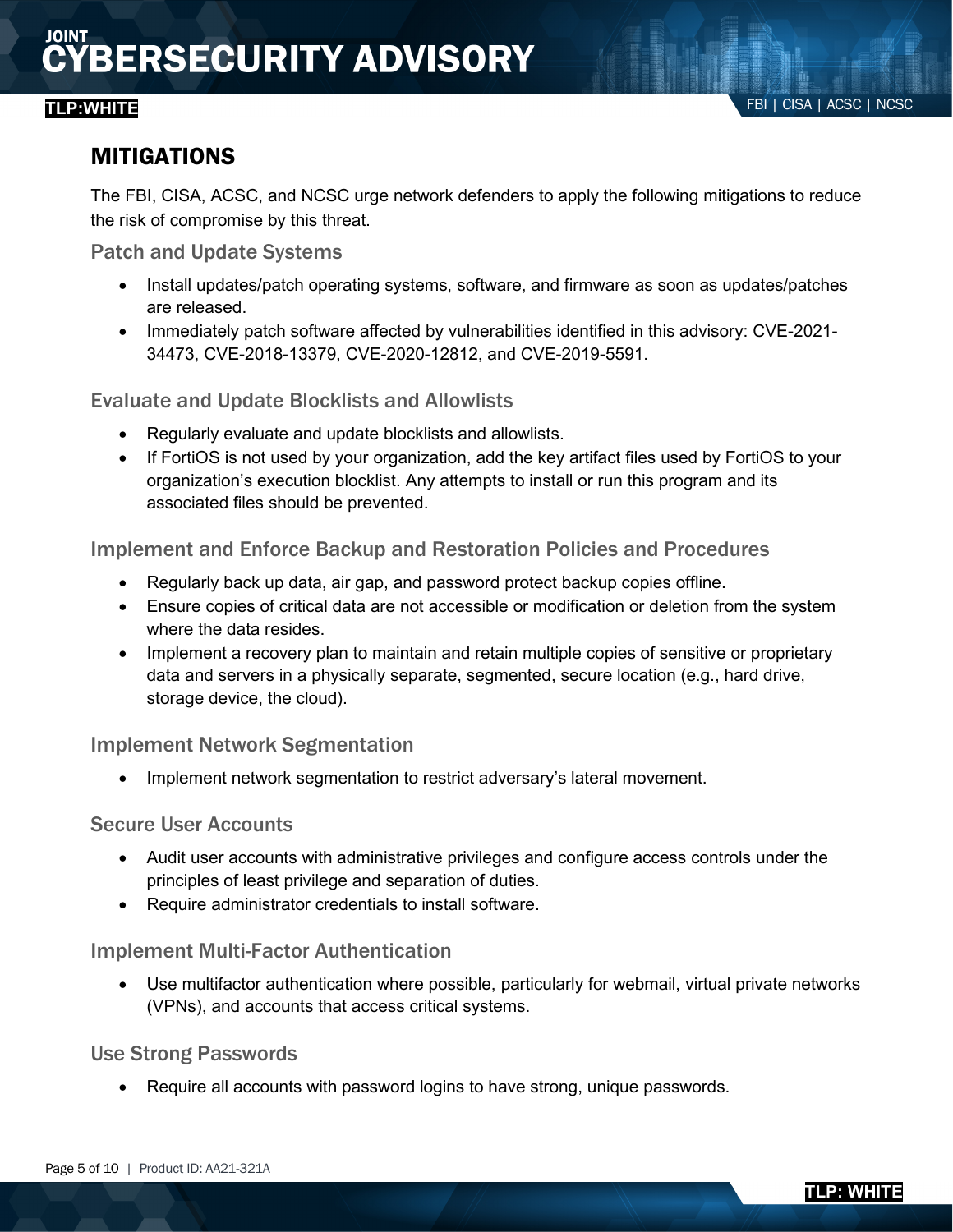## MITIGATIONS

The FBI, CISA, ACSC, and NCSC urge network defenders to apply the following mitigations to reduce the risk of compromise by this threat.

Patch and Update Systems

- Install updates/patch operating systems, software, and firmware as soon as updates/patches are released.
- Immediately patch software affected by vulnerabilities identified in this advisory: CVE-2021- 34473, CVE-2018-13379, CVE-2020-12812, and CVE-2019-5591.

### Evaluate and Update Blocklists and Allowlists

- Regularly evaluate and update blocklists and allowlists.
- If FortiOS is not used by your organization, add the key artifact files used by FortiOS to your organization's execution blocklist. Any attempts to install or run this program and its associated files should be prevented.

### Implement and Enforce Backup and Restoration Policies and Procedures

- Regularly back up data, air gap, and password protect backup copies offline.
- Ensure copies of critical data are not accessible or modification or deletion from the system where the data resides
- Implement a recovery plan to maintain and retain multiple copies of sensitive or proprietary data and servers in a physically separate, segmented, secure location (e.g., hard drive, storage device, the cloud).

### Implement Network Segmentation

Implement network segmentation to restrict adversary's lateral movement.

#### Secure User Accounts

- Audit user accounts with administrative privileges and configure access controls under the principles of least privilege and separation of duties.
- Require administrator credentials to install software.

### Implement Multi-Factor Authentication

• Use multifactor authentication where possible, particularly for webmail, virtual private networks (VPNs), and accounts that access critical systems.

### Use Strong Passwords

• Require all accounts with password logins to have strong, unique passwords.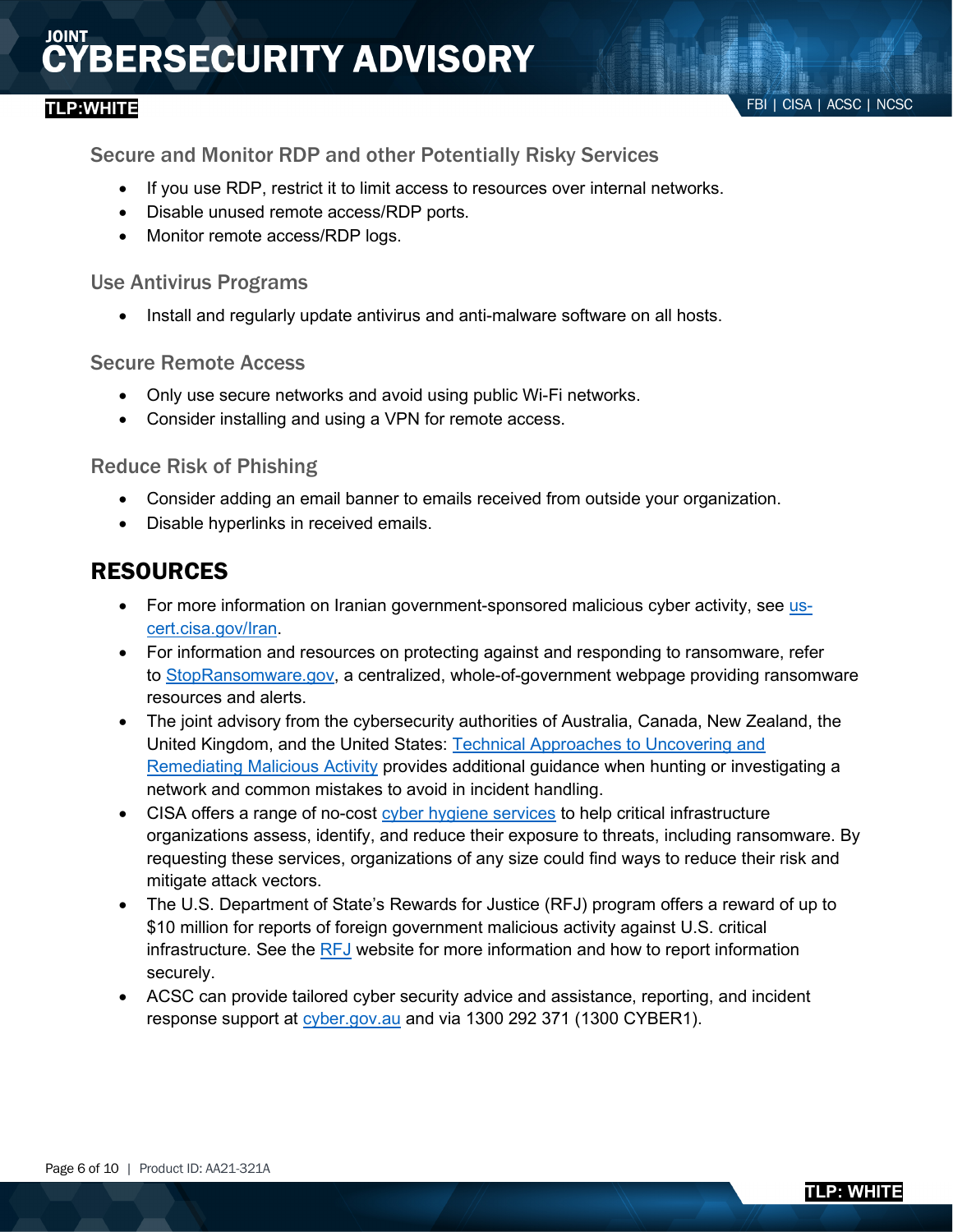Secure and Monitor RDP and other Potentially Risky Services

- If you use RDP, restrict it to limit access to resources over internal networks.
- Disable unused remote access/RDP ports.
- Monitor remote access/RDP logs.

#### Use Antivirus Programs

• Install and regularly update antivirus and anti-malware software on all hosts.

#### Secure Remote Access

- Only use secure networks and avoid using public Wi-Fi networks.
- Consider installing and using a VPN for remote access.

### Reduce Risk of Phishing

- Consider adding an email banner to emails received from outside your organization.
- Disable hyperlinks in received emails.

## RESOURCES

- For more information on Iranian government-sponsored malicious cyber activity, see [us](https://attack.mitre.org/versions/v10/tactics/TA0006)[cert.cisa.gov/Iran.](https://attack.mitre.org/versions/v10/tactics/TA0006)
- For information and resources on protecting against and responding to ransomware, refer to [StopRansomware.gov,](https://www.us-cert.cisa.gov/iran) a centralized, whole-of-government webpage providing ransomware resources and alerts.
- The joint advisory from the cybersecurity authorities of Australia, Canada, New Zealand, the United Kingdom, and the United States: [Technical Approaches to Uncovering and](https://attack.mitre.org/versions/v10/tactics/TA0042)  [Remediating Malicious Activity](https://attack.mitre.org/versions/v10/tactics/TA0042) provides additional guidance when hunting or investigating a network and common mistakes to avoid in incident handling.
- CISA offers a range of no-cost [cyber hygiene services](https://attack.mitre.org/versions/v10/techniques/enterprise/) to help critical infrastructure organizations assess, identify, and reduce their exposure to threats, including ransomware. By requesting these services, organizations of any size could find ways to reduce their risk and mitigate attack vectors.
- The U.S. Department of State's Rewards for Justice (RFJ) program offers a reward of up to \$10 million for reports of foreign government malicious activity against U.S. critical infrastructure. See the [RFJ](https://attack.mitre.org/versions/v10/tactics/TA0010) website for more information and how to report information securely.
- ACSC can provide tailored cyber security advice and assistance, reporting, and incident response support at [cyber.gov.au](https://www.ic3.gov/media/news/2021/210527.pdf) and via 1300 292 371 (1300 CYBER1).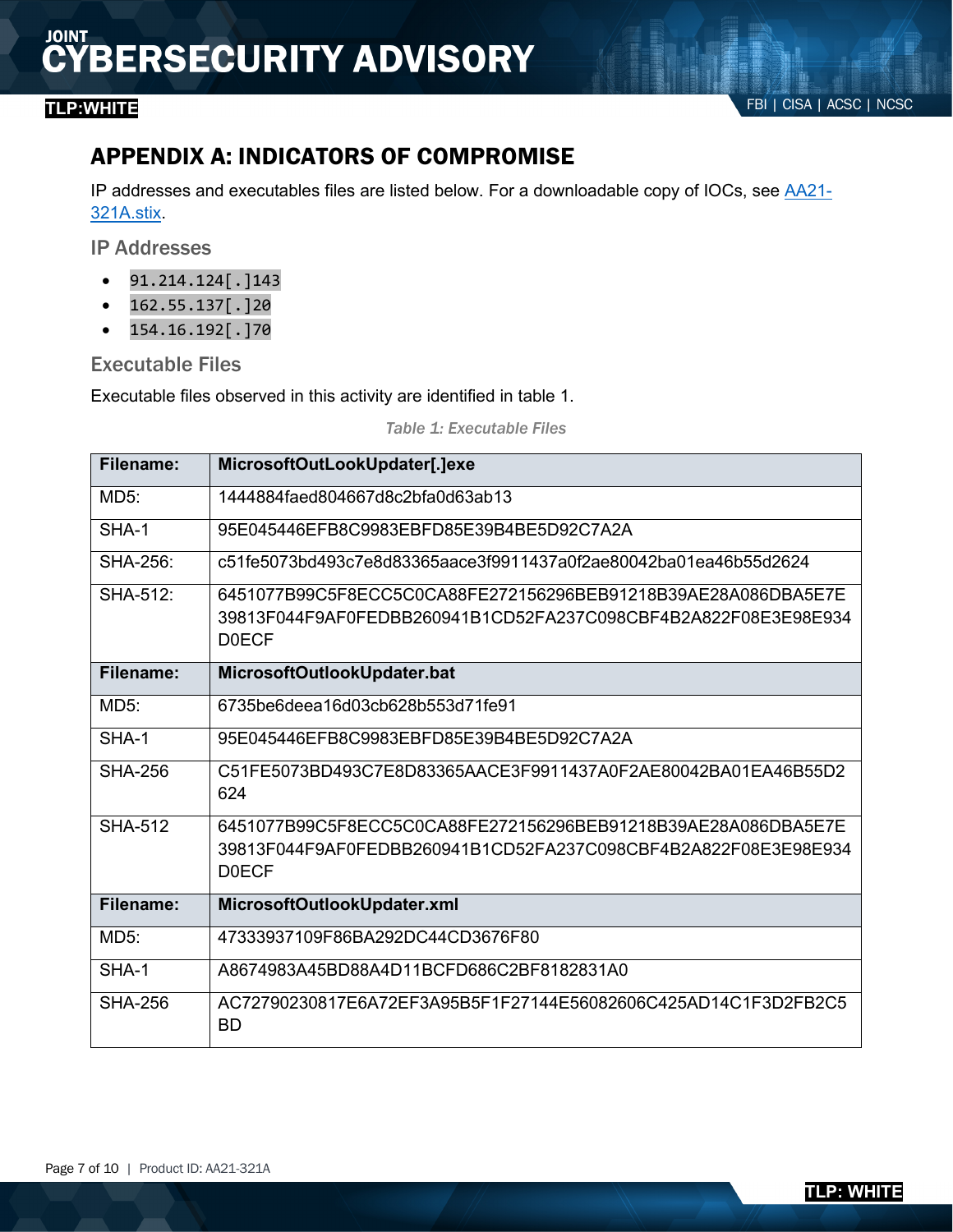## APPENDIX A: INDICATORS OF COMPROMISE

IP addresses and executables files are listed below. For a downloadable copy of IOCs, see [AA21-](https://attack.mitre.org/versions/v10/techniques/T1588/002) [321A.stix.](https://attack.mitre.org/versions/v10/techniques/T1588/002)

IP Addresses

- $91.214.124$ [.]143
- $162.55.137$ [.]20
- $154.16.192$ [.]70

#### Executable Files

Executable files observed in this activity are identified in table 1.

*Table 1: Executable Files*

| Filename:       | MicrosoftOutLookUpdater[.]exe                                                                                                                   |
|-----------------|-------------------------------------------------------------------------------------------------------------------------------------------------|
| MD5:            | 1444884faed804667d8c2bfa0d63ab13                                                                                                                |
| SHA-1           | 95E045446EFB8C9983EBFD85E39B4BE5D92C7A2A                                                                                                        |
| <b>SHA-256:</b> | c51fe5073bd493c7e8d83365aace3f9911437a0f2ae80042ba01ea46b55d2624                                                                                |
| SHA-512:        | 6451077B99C5F8ECC5C0CA88FE272156296BEB91218B39AE28A086DBA5E7E<br>39813F044F9AF0FEDBB260941B1CD52FA237C098CBF4B2A822F08E3E98E934<br><b>DOECF</b> |
| Filename:       | MicrosoftOutlookUpdater.bat                                                                                                                     |
| MD5:            | 6735be6deea16d03cb628b553d71fe91                                                                                                                |
| SHA-1           | 95E045446EFB8C9983EBFD85E39B4BE5D92C7A2A                                                                                                        |
| <b>SHA-256</b>  | C51FE5073BD493C7E8D83365AACE3F9911437A0F2AE80042BA01EA46B55D2<br>624                                                                            |
| <b>SHA-512</b>  | 6451077B99C5F8ECC5C0CA88FE272156296BEB91218B39AE28A086DBA5E7E<br>39813F044F9AF0FEDBB260941B1CD52FA237C098CBF4B2A822F08E3E98E934<br><b>DOECF</b> |
|                 |                                                                                                                                                 |
| Filename:       | MicrosoftOutlookUpdater.xml                                                                                                                     |
| <b>MD5:</b>     | 47333937109F86BA292DC44CD3676F80                                                                                                                |
| SHA-1           | A8674983A45BD88A4D11BCFD686C2BF8182831A0                                                                                                        |
| <b>SHA-256</b>  | AC72790230817E6A72EF3A95B5F1F27144E56082606C425AD14C1F3D2FB2C5<br><b>BD</b>                                                                     |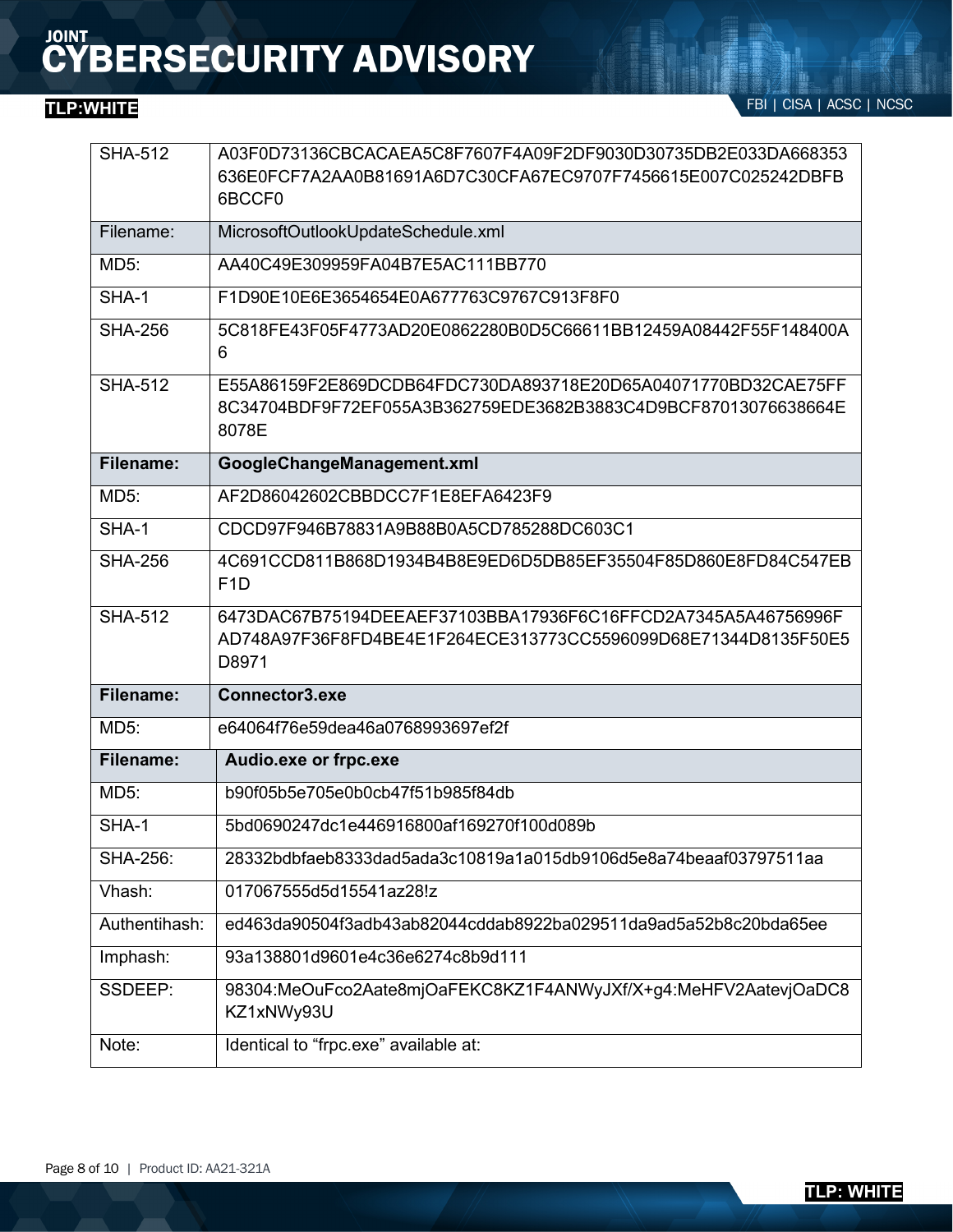FBI | CISA | ACSC | NCSC **TLP:WHITE**

| <b>SHA-512</b>   | A03F0D73136CBCACAEA5C8F7607F4A09F2DF9030D30735DB2E033DA668353<br>636E0FCF7A2AA0B81691A6D7C30CFA67EC9707F7456615E007C025242DBFB<br>6BCCF0 |  |
|------------------|------------------------------------------------------------------------------------------------------------------------------------------|--|
| Filename:        | MicrosoftOutlookUpdateSchedule.xml                                                                                                       |  |
| MD5:             | AA40C49E309959FA04B7E5AC111BB770                                                                                                         |  |
| SHA-1            | F1D90E10E6E3654654E0A677763C9767C913F8F0                                                                                                 |  |
| <b>SHA-256</b>   | 5C818FE43F05F4773AD20E0862280B0D5C66611BB12459A08442F55F148400A<br>6                                                                     |  |
| <b>SHA-512</b>   | E55A86159F2E869DCDB64FDC730DA893718E20D65A04071770BD32CAE75FF<br>8C34704BDF9F72EF055A3B362759EDE3682B3883C4D9BCF87013076638664E<br>8078E |  |
| Filename:        | GoogleChangeManagement.xml                                                                                                               |  |
| MD5:             | AF2D86042602CBBDCC7F1E8EFA6423F9                                                                                                         |  |
| SHA-1            | CDCD97F946B78831A9B88B0A5CD785288DC603C1                                                                                                 |  |
| <b>SHA-256</b>   | 4C691CCD811B868D1934B4B8E9ED6D5DB85EF35504F85D860E8FD84C547EB<br>F <sub>1</sub> D                                                        |  |
|                  | 6473DAC67B75194DEEAEF37103BBA17936F6C16FFCD2A7345A5A46756996F<br>AD748A97F36F8FD4BE4E1F264ECE313773CC5596099D68E71344D8135F50E5<br>D8971 |  |
| <b>SHA-512</b>   |                                                                                                                                          |  |
| <b>Filename:</b> | Connector3.exe                                                                                                                           |  |
| <b>MD5:</b>      | e64064f76e59dea46a0768993697ef2f                                                                                                         |  |
| <b>Filename:</b> | Audio.exe or frpc.exe                                                                                                                    |  |
| MD5:             | b90f05b5e705e0b0cb47f51b985f84db                                                                                                         |  |
| SHA-1            | 5bd0690247dc1e446916800af169270f100d089b                                                                                                 |  |
| <b>SHA-256:</b>  | 28332bdbfaeb8333dad5ada3c10819a1a015db9106d5e8a74beaaf03797511aa                                                                         |  |
| Vhash:           | 017067555d5d15541az28!z                                                                                                                  |  |
| Authentihash:    | ed463da90504f3adb43ab82044cddab8922ba029511da9ad5a52b8c20bda65ee                                                                         |  |
| Imphash:         | 93a138801d9601e4c36e6274c8b9d111                                                                                                         |  |
| SSDEEP:          | 98304:MeOuFco2Aate8mjOaFEKC8KZ1F4ANWyJXf/X+g4:MeHFV2AatevjOaDC8<br>KZ1xNWy93U                                                            |  |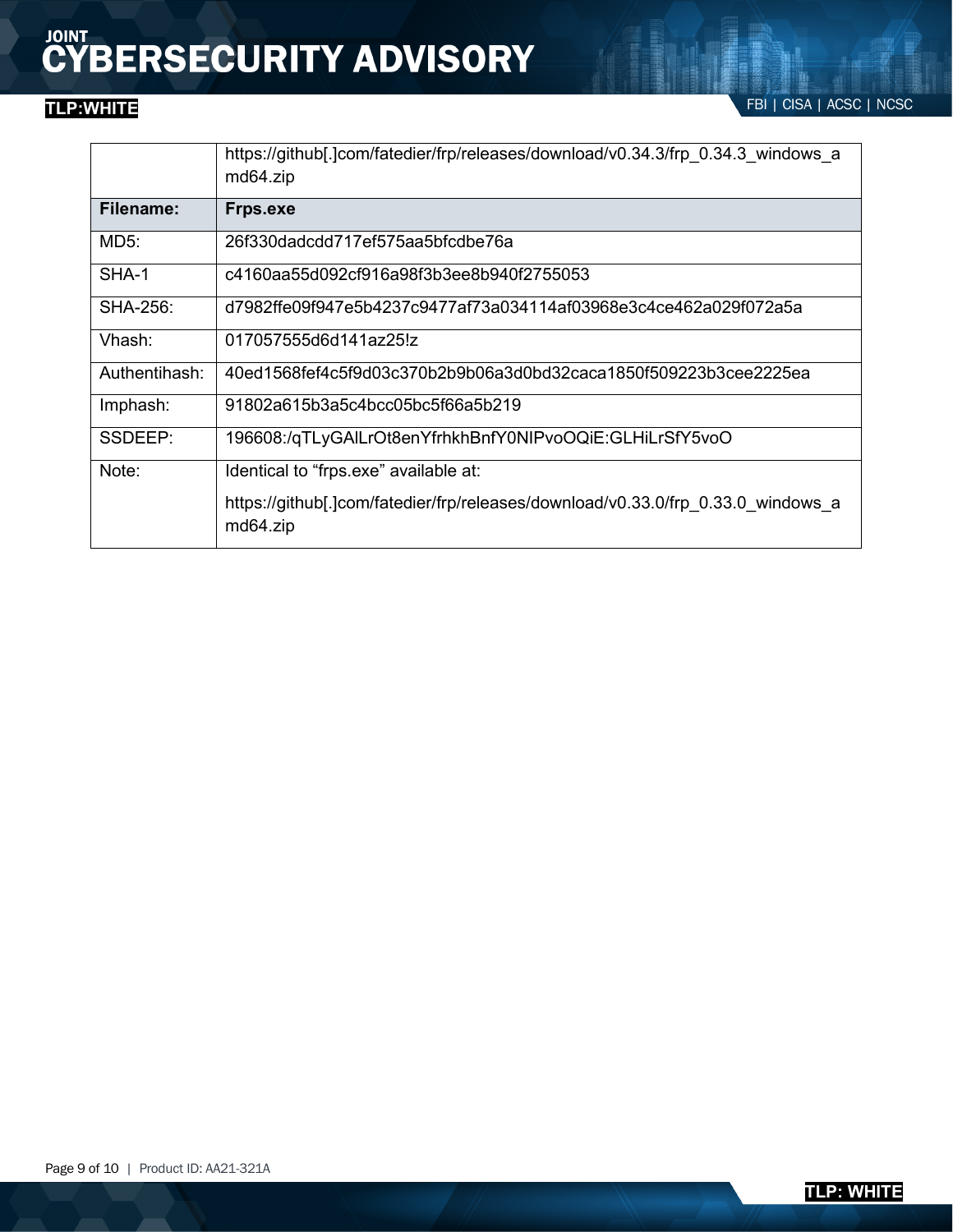FBI | CISA | ACSC | NCSC **TLP:WHITE**

|               | https://github[.]com/fatedier/frp/releases/download/v0.34.3/frp 0.34.3 windows a<br>md64.zip |
|---------------|----------------------------------------------------------------------------------------------|
| Filename:     | <b>Frps.exe</b>                                                                              |
| MD5:          | 26f330dadcdd717ef575aa5bfcdbe76a                                                             |
| SHA-1         | c4160aa55d092cf916a98f3b3ee8b940f2755053                                                     |
| SHA-256:      | d7982ffe09f947e5b4237c9477af73a034114af03968e3c4ce462a029f072a5a                             |
| Vhash:        | 017057555d6d141az25!z                                                                        |
| Authentihash: | 40ed1568fef4c5f9d03c370b2b9b06a3d0bd32caca1850f509223b3cee2225ea                             |
| Imphash:      | 91802a615b3a5c4bcc05bc5f66a5b219                                                             |
| SSDEEP:       | 196608:/qTLyGAILrOt8enYfrhkhBnfY0NIPvoOQiE:GLHiLrSfY5voO                                     |
| Note:         | Identical to "frps.exe" available at:                                                        |
|               | https://github[.]com/fatedier/frp/releases/download/v0.33.0/frp 0.33.0 windows a<br>md64.zip |